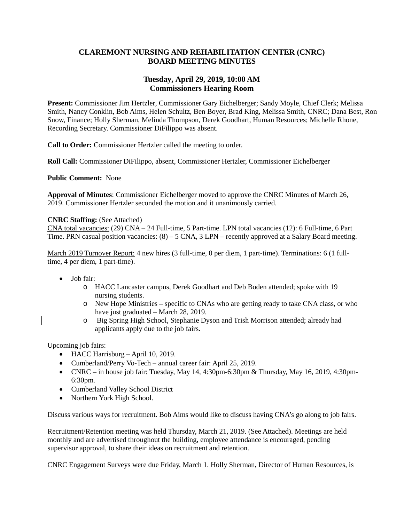### **CLAREMONT NURSING AND REHABILITATION CENTER (CNRC) BOARD MEETING MINUTES**

### **Tuesday, April 29, 2019, 10:00 AM Commissioners Hearing Room**

**Present:** Commissioner Jim Hertzler, Commissioner Gary Eichelberger; Sandy Moyle, Chief Clerk; Melissa Smith, Nancy Conklin, Bob Aims, Helen Schultz, Ben Boyer, Brad King, Melissa Smith, CNRC; Dana Best, Ron Snow, Finance; Holly Sherman, Melinda Thompson, Derek Goodhart, Human Resources; Michelle Rhone, Recording Secretary. Commissioner DiFilippo was absent.

**Call to Order:** Commissioner Hertzler called the meeting to order.

**Roll Call:** Commissioner DiFilippo, absent, Commissioner Hertzler, Commissioner Eichelberger

**Public Comment:** None

**Approval of Minutes**: Commissioner Eichelberger moved to approve the CNRC Minutes of March 26, 2019. Commissioner Hertzler seconded the motion and it unanimously carried.

### **CNRC Staffing:** (See Attached)

CNA total vacancies: (29) CNA – 24 Full-time, 5 Part-time. LPN total vacancies (12): 6 Full-time, 6 Part Time. PRN casual position vacancies: (8) – 5 CNA, 3 LPN – recently approved at a Salary Board meeting.

March 2019 Turnover Report: 4 new hires (3 full-time, 0 per diem, 1 part-time). Terminations: 6 (1 fulltime, 4 per diem, 1 part-time).

- Job fair:
	- o HACC Lancaster campus, Derek Goodhart and Deb Boden attended; spoke with 19 nursing students.
	- o New Hope Ministries specific to CNAs who are getting ready to take CNA class, or who have just graduated – March 28, 2019.
	- o Big Spring High School, Stephanie Dyson and Trish Morrison attended; already had applicants apply due to the job fairs.

Upcoming job fairs:

- HACC Harrisburg April 10, 2019.
- Cumberland/Perry Vo-Tech annual career fair: April 25, 2019.
- CNRC in house job fair: Tuesday, May 14, 4:30pm-6:30pm & Thursday, May 16, 2019, 4:30pm-6:30pm.
- Cumberland Valley School District
- Northern York High School.

Discuss various ways for recruitment. Bob Aims would like to discuss having CNA's go along to job fairs.

Recruitment/Retention meeting was held Thursday, March 21, 2019. (See Attached). Meetings are held monthly and are advertised throughout the building, employee attendance is encouraged, pending supervisor approval, to share their ideas on recruitment and retention.

CNRC Engagement Surveys were due Friday, March 1. Holly Sherman, Director of Human Resources, is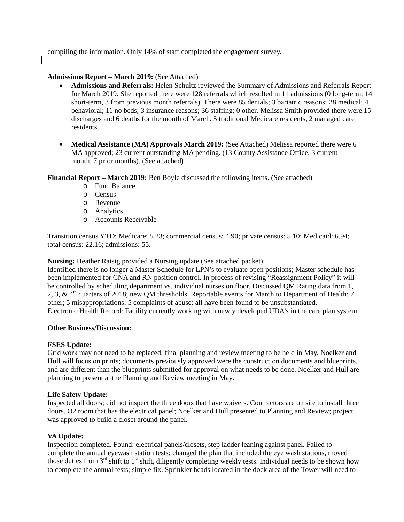compiling the information. Only 14% of staff completed the engagement survey.

### **Admissions Report – March 2019:** (See Attached)

- **Admissions and Referrals:** Helen Schultz reviewed the Summary of Admissions and Referrals Report for March 2019. She reported there were 128 referrals which resulted in 11 admissions (0 long-term; 14 short-term, 3 from previous month referrals). There were 85 denials; 3 bariatric reasons; 28 medical; 4 behavioral; 11 no beds; 3 insurance reasons; 36 staffing; 0 other. Melissa Smith provided there were 15 discharges and 6 deaths for the month of March. 5 traditional Medicare residents, 2 managed care residents.
- **Medical Assistance (MA) Approvals March 2019:** (See Attached) Melissa reported there were 6 MA approved; 23 current outstanding MA pending. (13 County Assistance Office, 3 current month, 7 prior months). (See attached)

**Financial Report – March 2019:** Ben Boyle discussed the following items. (See attached)

- o Fund Balance
- o Census
- o Revenue
- o Analytics
- o Accounts Receivable

Transition census YTD: Medicare: 5.23; commercial census: 4.90; private census: 5.10; Medicaid: 6.94; total census: 22.16; admissions: 55.

**Nursing:** Heather Raisig provided a Nursing update (See attached packet)

Identified there is no longer a Master Schedule for LPN's to evaluate open positions; Master schedule has been implemented for CNA and RN position control. In process of revising "Reassignment Policy" it will be controlled by scheduling department vs. individual nurses on floor. Discussed QM Rating data from 1, 2, 3, & 4<sup>th</sup> quarters of 2018; new OM thresholds. Reportable events for March to Department of Health: 7 other; 5 misappropriations; 5 complaints of abuse: all have been found to be unsubstantiated. Electronic Health Record: Facility currently working with newly developed UDA's in the care plan system.

### **Other Business/Discussion:**

### **FSES Update:**

Grid work may not need to be replaced; final planning and review meeting to be held in May. Noelker and Hull will focus on prints; documents previously approved were the construction documents and blueprints, and are different than the blueprints submitted for approval on what needs to be done. Noelker and Hull are planning to present at the Planning and Review meeting in May.

### **Life Safety Update:**

Inspected all doors; did not inspect the three doors that have waivers. Contractors are on site to install three doors. O2 room that has the electrical panel; Noelker and Hull presented to Planning and Review; project was approved to build a closet around the panel.

### **VA Update:**

Inspection completed. Found: electrical panels/closets, step ladder leaning against panel. Failed to complete the annual eyewash station tests; changed the plan that included the eye wash stations, moved those duties from  $3<sup>rd</sup>$  shift to  $1<sup>st</sup>$  shift, diligently completing weekly tests. Individual needs to be shown how to complete the annual tests; simple fix. Sprinkler heads located in the dock area of the Tower will need to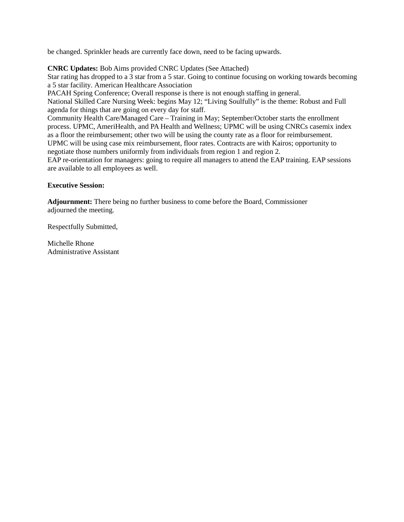be changed. Sprinkler heads are currently face down, need to be facing upwards.

### **CNRC Updates:** Bob Aims provided CNRC Updates (See Attached)

Star rating has dropped to a 3 star from a 5 star. Going to continue focusing on working towards becoming a 5 star facility. American Healthcare Association

PACAH Spring Conference; Overall response is there is not enough staffing in general.

National Skilled Care Nursing Week: begins May 12; "Living Soulfully" is the theme: Robust and Full agenda for things that are going on every day for staff.

Community Health Care/Managed Care – Training in May; September/October starts the enrollment process. UPMC, AmeriHealth, and PA Health and Wellness; UPMC will be using CNRCs casemix index as a floor the reimbursement; other two will be using the county rate as a floor for reimbursement. UPMC will be using case mix reimbursement, floor rates. Contracts are with Kairos; opportunity to negotiate those numbers uniformly from individuals from region 1 and region 2.

EAP re-orientation for managers: going to require all managers to attend the EAP training. EAP sessions are available to all employees as well.

### **Executive Session:**

**Adjournment:** There being no further business to come before the Board, Commissioner adjourned the meeting.

Respectfully Submitted,

Michelle Rhone Administrative Assistant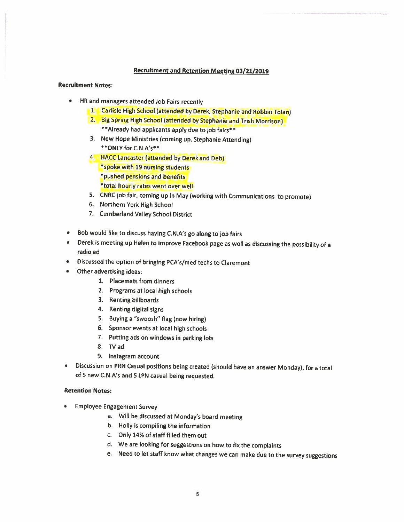### **Recruitment and Retention Meeting 03/21/2019**

### **Recruitment Notes:**

- $\bullet$ HR and managers attended Job Fairs recently
	- 1. Carlisle High School (attended by Derek, Stephanie and Robbin Tolan)
	- 2. Big Spring High School (attended by Stephanie and Trish Morrison) \*\* Already had applicants apply due to job fairs\*\*
	- 3. New Hope Ministries (coming up, Stephanie Attending) \*\* ONLY for C.N.A's\*\*
	- 4. HACC Lancaster (attended by Derek and Deb) \*spoke with 19 nursing students \*pushed pensions and benefits \*total hourly rates went over well
	- 5. CNRC job fair, coming up in May (working with Communications to promote)
	- 6. Northern York High School
	- 7. Cumberland Valley School District
- Bob would like to discuss having C.N.A's go along to job fairs
- Derek is meeting up Helen to improve Facebook page as well as discussing the possibility of a radio ad
- Discussed the option of bringing PCA's/med techs to Claremont
- Other advertising ideas:
	- 1. Placemats from dinners
	- 2. Programs at local high schools
	- 3. Renting billboards
	- 4. Renting digital signs
	- 5. Buying a "swoosh" flag (now hiring)
	- 6. Sponsor events at local high schools
	- 7. Putting ads on windows in parking lots
	- 8. TV ad
	- 9. Instagram account
- Discussion on PRN Casual positions being created (should have an answer Monday), for a total  $\bullet$ of 5 new C.N.A's and 5 LPN casual being requested.

### **Retention Notes:**

- **Employee Engagement Survey** 
	- a. Will be discussed at Monday's board meeting
	- b. Holly is compiling the information
	- c. Only 14% of staff filled them out
	- d. We are looking for suggestions on how to fix the complaints
	- e. Need to let staff know what changes we can make due to the survey suggestions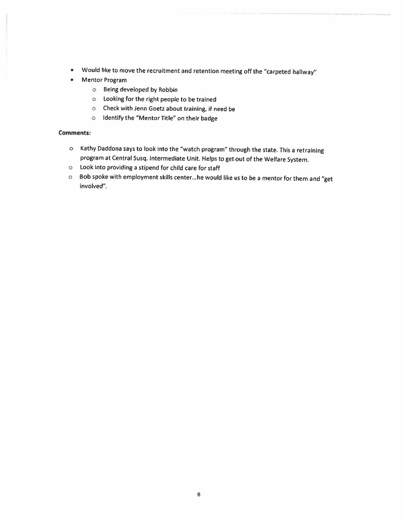- Would like to move the recruitment and retention meeting off the "carpeted hallway"
- Mentor Program
	- o Being developed by Robbin
	- o Looking for the right people to be trained
	- o Check with Jenn Goetz about training, if need be
	- o Identify the "Mentor Title" on their badge

### **Comments:**

- o Kathy Daddona says to look into the "watch program" through the state. This a retraining program at Central Susq. Intermediate Unit. Helps to get out of the Welfare System.
- o Look into providing a stipend for child care for staff
- o Bob spoke with employment skills center...he would like us to be a mentor for them and "get involved".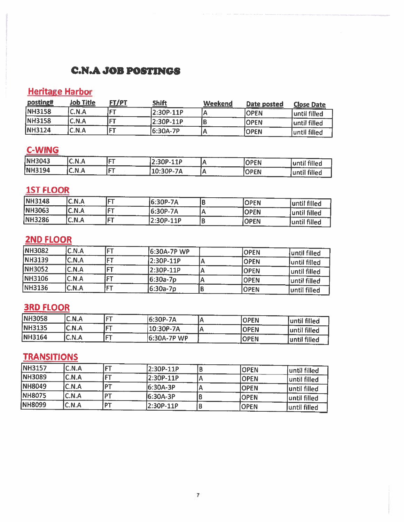### **C.N.A JOB POSTINGS**

## **Heritage Harbor**

| posting#       | Job Title | <b>FT/PT</b> | <b>Shift</b> | Weekend | Date posted | <b>Close Date</b> |
|----------------|-----------|--------------|--------------|---------|-------------|-------------------|
| <b>NH3158</b>  | C.N.A     |              | 2:30P-11P    |         | <b>OPEN</b> | luntil filled     |
| <b>NH3158</b>  | C.N.A     | <b>CT</b>    | 2:30P-11P    |         | <b>OPEN</b> | until filled      |
| <b>INH3124</b> | C.N.A     | --           | 16:30A-7P    |         | lOPEN       | luntil filled     |

# C-WING

| <b><i><u>COMMAND</u></i></b><br>NH3043<br><b><i><u>ALCOHOL: 2001</u></i></b> | ---<br>C.N.A         | ----<br>$\epsilon = -1$ | ------<br>חיו<br><u>.</u><br>--<br>---<br>-- | .    | ODENI<br>EN     | $P - 0.5$                                                                                                                                    |
|------------------------------------------------------------------------------|----------------------|-------------------------|----------------------------------------------|------|-----------------|----------------------------------------------------------------------------------------------------------------------------------------------|
| <b>NH3194</b><br>------                                                      | N<br><u></u><br>____ | ---<br>___              | <b>FR</b><br>1P-7A<br>LV.J<br>_____          | ____ | --<br>∩DEN<br>◡ | <b>filled</b><br>umi<br>--<br>and the state of the state of the state of the state of the state of the state of the state of the state of th |

## **1ST FLOOR**

| <b>NH3148</b> | C.N.A | -     | 6:30P-7A    | <b>OPEN</b> | until filled |
|---------------|-------|-------|-------------|-------------|--------------|
| NH3063        | C.N.A | l r T | $16:30P-7A$ | <b>OPEN</b> | until filled |
| NH3286        | C.N.A |       | 2:30P-11P   | <b>OPEN</b> | until filled |

# **2ND FLOOR**

| <b>NH3082</b>  | C.N.A |                   | 6:30A-7P WP | IOPEN        | until filled  |
|----------------|-------|-------------------|-------------|--------------|---------------|
| <b>INH3139</b> | C.N.A |                   | 2:30P-11P   | <b>OPEN</b>  | until filled  |
| <b>NH3052</b>  | C.N.A | <b>CONTRACT</b>   | 2:30P-11P   | <b>IOPEN</b> | luntil filled |
| NH3106         | C.N.A |                   | 16:30a-7p   | <b>OPEN</b>  | until filled  |
| <b>NH3136</b>  | C.N.A | <b>CONTRACTOR</b> | 6:30a-7p    | IOPEN        | until filled  |

# **3RD FLOOR**

| <b>NH3058</b> | C.N.A               | $- -$          | 6:30P-7A    | <b>OPEN</b> | until filled |
|---------------|---------------------|----------------|-------------|-------------|--------------|
| <b>NH3135</b> | C.N.A               | $- -$          | 10:30P-7A   | <b>OPEN</b> | until filled |
| NH3164        | C.N.A<br>---------- | <b>COMPANY</b> | 5:30A-7P WP | <b>OPEN</b> | until filled |

## **TRANSITIONS**

| <b>NH3157</b>  | C.N.A | -- | 2:30P-11P | <b>OPEN</b>  | until filled |
|----------------|-------|----|-----------|--------------|--------------|
| <b>NH3089</b>  | C.N.A |    | 2:30P-11P | <b>OPEN</b>  | until filled |
| <b>NH8049</b>  | C.N.A |    | 6:30A-3P  | <b>IOPEN</b> | until filled |
| <b>NH8075</b>  | C.N.A |    | 6:30A-3P  | <b>OPEN</b>  | until filled |
| <b>INH8099</b> | C.N.A | דם | 2:30P-11P | IOPEN        | until filled |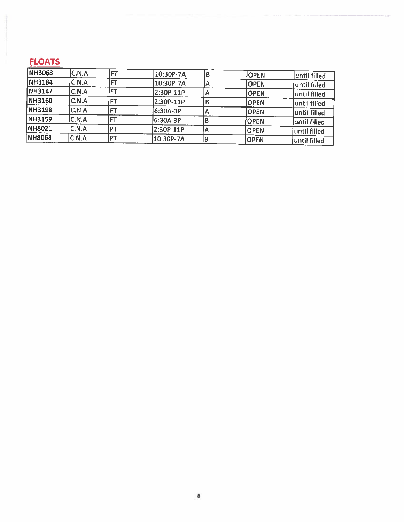# **FLOATS**

| <b>NH3068</b> | C.N.A        | ET        | 10:30P-7A |    | <b>OPEN</b> | until filled |
|---------------|--------------|-----------|-----------|----|-------------|--------------|
| <b>NH3184</b> | C.N.A        |           | 10:30P-7A | Ά. | <b>OPEN</b> | until filled |
| NH3147        | C.N.A        |           | 2:30P-11P | А  | <b>OPEN</b> | until filled |
| NH3160        | C.N.A        |           | 2:30P-11P |    | <b>OPEN</b> | until filled |
| <b>NH3198</b> | <b>C.N.A</b> |           | 6:30A-3P  | А  | <b>OPEN</b> | until filled |
| <b>NH3159</b> | C.N.A        |           | 6:30A-3P  |    | <b>OPEN</b> | until filled |
| <b>NH8021</b> | C.N.A        | <b>PT</b> | 2:30P-11P |    | <b>OPEN</b> | until filled |
| <b>NH8068</b> | C.N.A        | iот       | 10:30P-7A |    | <b>OPEN</b> | until filled |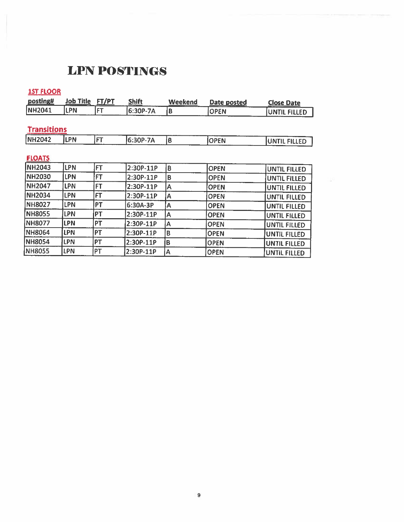# **LPN POSTINGS**

1ST FLOOR

| posting#           | <b>Job Title</b> | FT/PT     | <b>Shift</b> | Weekend | Date posted | <b>Close Date</b>   |
|--------------------|------------------|-----------|--------------|---------|-------------|---------------------|
| <b>NH2041</b>      | <b>ILPN</b>      | FT        | 6:30P-7A     | B       | <b>OPEN</b> | UNTIL FILLED        |
|                    |                  |           |              |         |             |                     |
| <b>Transitions</b> |                  |           |              |         |             |                     |
| <b>NH2042</b>      | <b>LPN</b>       | <b>FT</b> | 6:30P-7A     | B       | <b>OPEN</b> | UNTIL FILLED        |
|                    |                  |           |              |         |             |                     |
| <b>FLOATS</b>      |                  |           |              |         |             |                     |
| <b>NH2043</b>      | <b>LPN</b>       | FT.       | 2:30P-11P    | B       | <b>OPEN</b> | UNTIL FILLED        |
| <b>NH2030</b>      | <b>LPN</b>       | FT        | $2:30P-11P$  | B       | <b>OPEN</b> | UNTIL FILLED        |
| NH2047             | <b>LPN</b>       | FT        | 2:30P-11P    | A       | <b>OPEN</b> | UNTIL FILLED        |
| <b>NH2034</b>      | <b>LPN</b>       | FT        | 2:30P-11P    | Α       | <b>OPEN</b> | UNTIL FILLED        |
| <b>NH8027</b>      | <b>LPN</b>       | PT        | 6:30A-3P     | Α       | <b>OPEN</b> | <b>UNTIL FILLED</b> |
| <b>NH8055</b>      | <b>LPN</b>       | PT        | 2:30P-11P    | A       | <b>OPEN</b> | <b>UNTIL FILLED</b> |
| <b>NH8077</b>      | <b>LPN</b>       | PT        | 2:30P-11P    | А       | <b>OPEN</b> | UNTIL FILLED        |
| <b>NH8064</b>      | <b>LPN</b>       | <b>PT</b> | 2:30P-11P    | B       | <b>OPEN</b> | UNTIL FILLED        |
| <b>NH8054</b>      | <b>LPN</b>       | PT        | 2:30P-11P    | B       | <b>OPEN</b> | <b>UNTIL FILLED</b> |
| NH8055             | <b>LPN</b>       | PT        | 2:30P-11P    | A       | <b>OPEN</b> | <b>UNTIL FILLED</b> |

129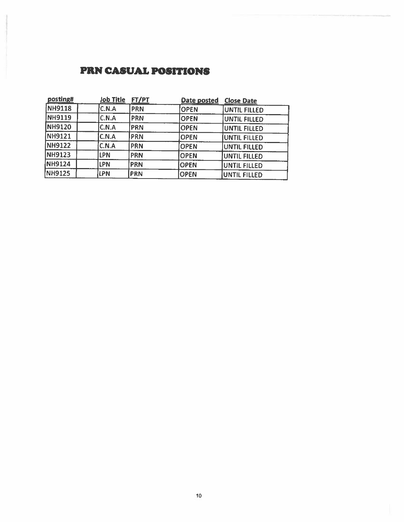### **PRN CASUAL POSITIONS**

| posting#      | <b>Job Title</b> | <b>FT/PT</b> | Date posted | <b>Close Date</b> |
|---------------|------------------|--------------|-------------|-------------------|
| NH9118        | C.N.A            | <b>PRN</b>   | <b>OPEN</b> | UNTIL FILLED      |
| <b>NH9119</b> | C.N.A            | PRN          | <b>OPEN</b> | UNTIL FILLED      |
| <b>NH9120</b> | C.N.A            | PRN          | <b>OPEN</b> | UNTIL FILLED      |
| NH9121        | C.N.A            | PRN          | <b>OPEN</b> | UNTIL FILLED      |
| <b>NH9122</b> | C.N.A            | PRN          | <b>OPEN</b> | UNTIL FILLED      |
| <b>NH9123</b> | LPN              | <b>PRN</b>   | <b>OPEN</b> | UNTIL FILLED      |
| NH9124        | LPN              | PRN          | <b>OPEN</b> | UNTIL FILLED      |
| NH9125        | LPN              | <b>PRN</b>   | <b>OPEN</b> | UNTIL FILLED      |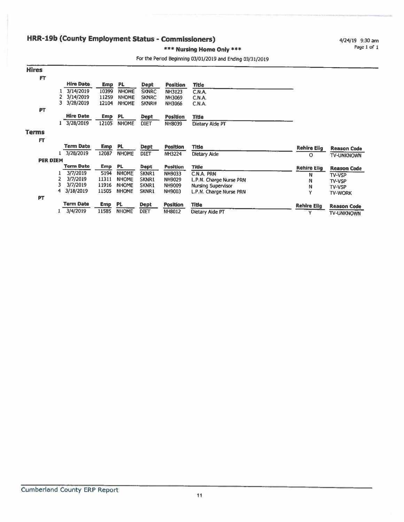### HRR-19b (County Employment Status - Commissioners)

4/24/19 9:30 am Page 1 of 1

### \*\*\* Nursing Home Only \*\*\*

### For the Period Beginning 03/01/2019 and Ending 03/31/2019

| <b>Hires</b>    |                  |            |              |              |                 |                           |                    |                    |
|-----------------|------------------|------------|--------------|--------------|-----------------|---------------------------|--------------------|--------------------|
| FT              |                  |            |              |              |                 |                           |                    |                    |
|                 | <b>Hire Date</b> | <b>Emp</b> | <b>PL</b>    | Dept         | <b>Position</b> | Title                     |                    |                    |
|                 | 3/14/2019        | 10399      | <b>NHOME</b> | <b>SKNRC</b> | <b>NH3123</b>   | C.N.A.                    |                    |                    |
|                 | 3/14/2019        | 11259      | <b>NHOME</b> | <b>SKNRC</b> | <b>NH3069</b>   | C.N.A.                    |                    |                    |
|                 | 3<br>3/28/2019   | 12104      | <b>NHOME</b> | <b>SKNRH</b> | <b>NH3066</b>   | C.N.A.                    |                    |                    |
| PT              |                  |            |              |              |                 |                           |                    |                    |
|                 | <b>Hire Date</b> | <b>Emp</b> | PL.          | Dept         | <b>Position</b> | <b>Title</b>              |                    |                    |
|                 | 3/28/2019        | 12105      | <b>NHOME</b> | <b>DIET</b>  | <b>NH8039</b>   | Dietary Alde PT           |                    |                    |
| <b>Terms</b>    |                  |            |              |              |                 |                           |                    |                    |
| FT              |                  |            |              |              |                 |                           |                    |                    |
|                 | Term Date        | <b>Emp</b> | PL.          | <b>Dept</b>  | <b>Position</b> | Title                     | <b>Rehire Elig</b> | <b>Reason Code</b> |
|                 | 3/28/2019        | 12087      | <b>NHOME</b> | <b>DIET</b>  | <b>NH3224</b>   | Dietary Aide              | 0                  | TV-UNKNOWN         |
| <b>PER DIEM</b> |                  |            |              |              |                 |                           |                    |                    |
|                 | Term Date        | <b>Emp</b> | PL.          | <b>Dept</b>  | <b>Position</b> | Title                     | <b>Rehire Elig</b> | <b>Reason Code</b> |
|                 | 3/7/2019         | 5194       | <b>NHOME</b> | SKNR1        | NH9033          | C.N.A. PRN                | N                  | TV-VSP             |
|                 | 3/7/2019         | 11311      | <b>NHOME</b> | <b>SKNR1</b> | <b>NH9029</b>   | L.P.N. Charge Nurse PRN   | N                  | <b>TV-VSP</b>      |
|                 | 3/7/2019         | 11916      | <b>NHOME</b> | SKNR1        | NH9009          | <b>Nursing Supervisor</b> | Ν                  | TV-VSP             |
|                 | 3/18/2019<br>4   | 11505      | <b>NHOME</b> | SKNR1        | NH9003          | L.P.N. Charge Nurse PRN   | Y                  | <b>TV-WORK</b>     |
| <b>PT</b>       |                  |            |              |              |                 |                           |                    |                    |
|                 | <b>Term Date</b> | <b>Emp</b> | PL           | <b>Dept</b>  | <b>Position</b> | Title                     | <b>Rehire Elig</b> | <b>Reason Code</b> |
|                 | 3/4/2019         | 11585      | <b>NHOME</b> | <b>DIET</b>  | <b>NH8012</b>   | Dietary Aide PT           | Y                  | <b>TV-UNKNOWN</b>  |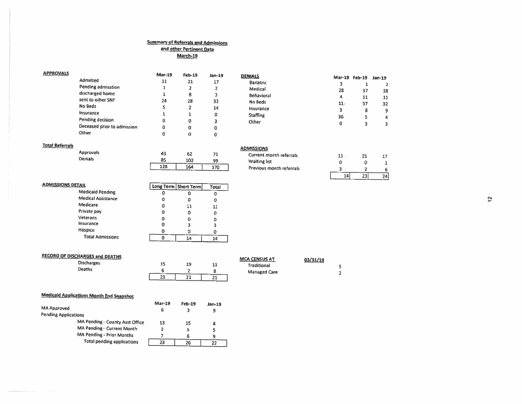#### **Summary of Referrals and Admissions** and other Pertinent Data March-19

#### **APPROVALS**

|                             | <b>Mar-19</b> | $Fe b-19$ | Jan-19 |
|-----------------------------|---------------|-----------|--------|
| Admitted                    | 11            | 21        | 17     |
| Pending admisstion          | 1             | 2         | 2      |
| discharged home             | 1             | 8         | 3      |
| sent to other SNF           | 24            | 28        | 32     |
| No Beds                     | 5             | 2         | 14     |
| Insurance                   | 1             |           | ۵      |
| Pending decision            | 0             | Ω         | 3      |
| Deceased prior to admission | ٥             | o         | 0      |
| Other                       | C             |           | 0      |

#### **DENIALS** Mar-19 Feb-19 Jan-19 Bariatric  $\overline{3}$ Medical 28 Behavioral  $\overline{\mathbf{4}}$ No Beds  $11.$ fnsurance  $\overline{\mathbf{3}}$ Staffing 36 Other  $\pmb{0}$

#### **Total Referrals**

Approvals Denials

| 43  | 62  | 71  |
|-----|-----|-----|
| 85  | 102 | 99  |
| 128 | 164 | 170 |

| <b>ADMISSIONS</b>              |  |
|--------------------------------|--|
| <b>Current month referrals</b> |  |
| <b>Waiting list</b>            |  |
| Previous month referrals       |  |
|                                |  |

. . . . . . . . .

| 11 |    |    |
|----|----|----|
| ٥  |    |    |
|    |    | 6  |
|    | 23 | 24 |
|    |    |    |

 $\mathbf 1$ 

37

 $11$ 

37

 $\boldsymbol{8}$ 

 $\overline{\mathbf{5}}$ 

 $\overline{\mathbf{3}}$ 

 $\overline{2}$ 

38

 ${\bf 11}$ 

 $32$ 

 $\mathbf 9$ 

 $\pmb{4}$ 

 $\overline{\mathbf{3}}$ 

| <b>ADMISSIONS DETAIL</b>  |   | Long Term   Short Term | <b>Total</b> |
|---------------------------|---|------------------------|--------------|
| <b>Medicaid Pending</b>   | Ω |                        | o            |
| <b>Medical Assistance</b> | Ο | o                      | o            |
| Medicare                  |   | 11                     | 11           |
| Private pay               |   | o                      | 0            |
| Veterans                  |   | O                      |              |
| Insurance                 |   |                        | 3            |
| Hospice                   |   |                        |              |
| <b>Total Admissions</b>   |   | L4                     | 14           |

| <b>RECORD OF DISCHARGES and DEATHS</b> |    |    |        | <b>MCA CENSUS AT</b> | 03/31/19 |
|----------------------------------------|----|----|--------|----------------------|----------|
| <b>Discharges</b><br>Deaths            | 15 | 19 | 13     | <b>Traditional</b>   |          |
|                                        | 21 | 21 | -<br>ᄾ | <b>Managed Care</b>  |          |

### **Medicaid Applications Month End Snapshot**

|                             |                                   | <b>Mar-19</b> | <b>Feb-19</b> | Jan-19 |
|-----------------------------|-----------------------------------|---------------|---------------|--------|
| MA Approved                 |                                   |               |               | 9      |
| <b>Pending Applications</b> |                                   |               |               |        |
|                             | MA Pending - County Asst Office   | 13            | 15            | 8      |
|                             | MA Pending - Current Month        | з             |               | s      |
|                             | <b>MA Pending - Prior Months</b>  |               |               |        |
|                             | <b>Total pending applications</b> | 23            | 26            |        |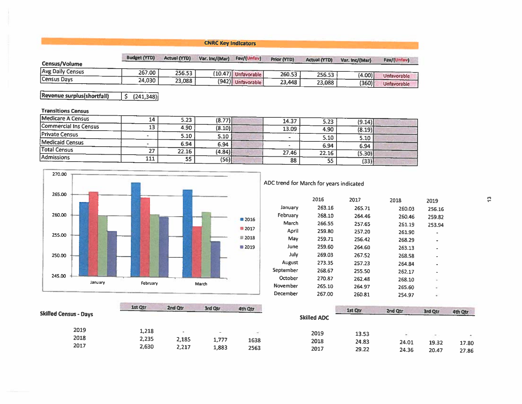### **CNRC Key Indicators**

| Census/Volume    | <b>Budget (YTD)</b> | <b>Actual (YTD)</b> | Var. Inc/(Mar) | Fav/(Unfav)           | <b>Prior (YTD)</b> | <b>Actual (YTD)</b> | Var. Inc/(Mar) | Fav/(Unfav         |
|------------------|---------------------|---------------------|----------------|-----------------------|--------------------|---------------------|----------------|--------------------|
| Avg Daily Census | 267.00              | 256.53              |                | $(10.47)$ Unfavorable | 260.53             | 256.53              | (4.00)         | Unfavorable        |
| Census Days      | 24,030              | 23,088              |                | (942) Unfavorable     | 23,448             | 23,088              | (360)          | <b>Unfavorable</b> |

Revenue surplus(shortfall)  $\overline{\left| \right. 5 \left. \right. \left. \right. \left. \left. \right. \left. \right. \left. \left. \right. \left. \right. \left. \right. \left. \right. \left. \left. \right. \right. \left. \left. \right. \left. \right. \left. \right. \left. \left. \right. \right. \left. \left. \right. \left. \right. \left. \left. \right. \left. \right. \left. \right. \left. \right. \left. \right. \left. \left. \right. \right. \left. \left. \right. \left. \right. \left. \left. \right. \left. \right. \left. \right. \left. \right. \left. \right. \left$ 

### **Transitions Census**

|                       | 111 | 55    | (56)   | 88    | 55    | (33)   |  |
|-----------------------|-----|-------|--------|-------|-------|--------|--|
| Admissions            | 27  | 22.16 | (4.84) | 27.46 | 22.16 | (5.30) |  |
| <b>Total Census</b>   |     | 6.94  | 6.94   |       | 6.94  | 6.94   |  |
| Medicaid Census       |     | 5.10  | 5.10   |       | 5.10  | 5.10   |  |
| <b>Private Census</b> |     |       |        |       | 4.90  | (8.19) |  |
| Commercial Ins Census | 13  | 4.90  | (8.10) | 13.09 |       |        |  |
| Medicare A Census     | 14  | 5.23  | (8.77) | 14.37 | 5.23  | (9.14) |  |



### ADC trend for March for years indicated

|               | 2016   | 2017   | 2018   | 2019           |
|---------------|--------|--------|--------|----------------|
| January       | 263.16 | 265.71 | 260.03 | 256.16         |
| February      | 268.10 | 264.46 | 260.46 | 259.82         |
| March         | 266.55 | 257.65 | 261.19 | 253.94         |
| April         | 259.80 | 257.20 | 261.90 | $\blacksquare$ |
| May           | 259.71 | 256.42 | 268.29 | ٠              |
| June          | 259.60 | 264.60 | 263.13 | ۰              |
| July          | 269.03 | 267.52 | 268.58 | ۰              |
| <b>August</b> | 273.35 | 257.23 | 264.84 | $\blacksquare$ |
| September     | 268.67 | 255.50 | 262.17 |                |
| October       | 270.87 | 262.48 | 268.10 | ù              |
| November      | 265.10 | 264.97 | 265.60 | ٠              |
| December      | 267.00 | 260.81 | 254.97 |                |
|               |        |        |        |                |

|                              | 1st Qtr        | 2nd Qtr        | 3rd Qtr        | 4th Qtr      |                    | 1st Qtr        | 2nd Qtr        | 3rd Qtr        | 4th Qtr        |
|------------------------------|----------------|----------------|----------------|--------------|--------------------|----------------|----------------|----------------|----------------|
| <b>Skilled Census - Days</b> |                |                |                |              | <b>Skilled ADC</b> |                |                |                |                |
| 2019                         | 1,218          |                | $\sim$         | -            | 2019               | 13.53          |                | $\sim$         | a.             |
| 2018<br>2017                 | 2,235<br>2,630 | 2,185<br>2,217 | 1,777<br>1,883 | 1638<br>2563 | 2018<br>2017       | 24.83<br>29.22 | 24.01<br>24.36 | 19.32<br>20.47 | 17.80<br>27.86 |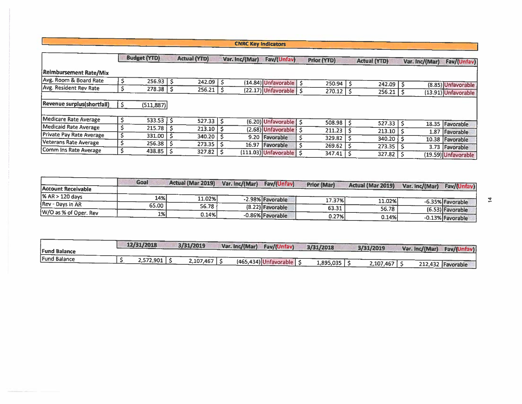### **CNRC Key Indicators**

|                               | <b>Budget (YTD)</b>    |    | <b>Actual (YTD)</b> |   | Var. Inc/(Mar) | Fav/(Unfav)                          | <b>Prior (YTD)</b> | <b>Actual (YTD)</b> | Var. Inc/(Mar) | Fav/(Unfav)         |
|-------------------------------|------------------------|----|---------------------|---|----------------|--------------------------------------|--------------------|---------------------|----------------|---------------------|
| <b>Reimbursement Rate/Mix</b> |                        |    |                     |   |                |                                      |                    |                     |                |                     |
| Avg. Room & Board Rate        | $256.93$   \$          |    | 242.09              | Ŝ |                | (14.84) Unfavorable   \$             | 250.94             | 242.09              |                |                     |
| Avg. Resident Rev Rate        | $278.38$ S             |    | 256.21              |   |                |                                      |                    |                     |                | (8.85) Unfavorable  |
|                               |                        |    |                     |   |                | $(22.17)$ Unfavorable   \$           | 270.12             | 256.21              |                | (13.91) Unfavorable |
| Revenue surplus(shortfall)    | (511, 887)             |    |                     |   |                |                                      |                    |                     |                |                     |
| Medicare Rate Average         | $533.53$ $\frac{1}{5}$ |    | 527.33              |   |                | (6.20) Unfavorable   \$              | 508.98             | 527.33              |                |                     |
| Medicaid Rate Average         | $215.78$   \$          |    | 213.10              |   |                | $(2.68)$ Unfavorable $\overline{5}$  |                    |                     |                | 18.35 Favorable     |
| Private Pay Rate Average      | 331.00                 | -S |                     |   |                |                                      | 211.23             | 213.10              | 1.87           | Favorable           |
|                               |                        |    | 340.20              |   |                | 9.20 Favorable                       | 329.82             | 340.20              |                | 10.38 Favorable     |
| Veterans Rate Average         | $256.38$   \$          |    | 273.35              |   |                | 16.97 Favorable                      | 269.62             | 273.35              | 3.73           | Favorable           |
| Comm Ins Rate Average         | $438.85$ $\frac{1}{5}$ |    | 327.82              |   |                | $(111.03)$ Unfavorable $\frac{1}{5}$ | 347.41             | 327.82              |                | (19.59) Unfavorable |

|                       | Goal  | <b>Actual (Mar 2019)</b> | Var. Inc/(Mar) | Fav/(Unfav)      | <b>Prior (Mar)</b> | Actual (Mar 2019) |                |                  |
|-----------------------|-------|--------------------------|----------------|------------------|--------------------|-------------------|----------------|------------------|
| Account Receivable    |       |                          |                |                  |                    |                   | Var. Inc/(Mar) | Fav/(Unfav)      |
| % AR > 120 days       | 14%   | 11.02%                   |                | -2.98% Favorable | 17.37%             |                   |                |                  |
| Rev - Days in AR      | 65.00 | 56.78                    |                | (8.22) Favorable | 63.31              | 11.02%            |                | -6.35% Favorable |
| W/O as % of Oper. Rev | 1%    | 0.14%                    |                | -0.86% Favorable |                    | 56.78             |                | (6.53) Favorable |
|                       |       |                          |                |                  | 0.27%              | 0.14%             |                | -0.13% Favorable |

| <b>Fund Balance</b> | 12/31/2018 | 3/31/2019 | Var. Inc/(Mar) | Fav/(Unfav)                  | 3/31/2018 | 3/31/2019 | Var. Inc/(Mar) | Fav/(Unfav)       |
|---------------------|------------|-----------|----------------|------------------------------|-----------|-----------|----------------|-------------------|
| <b>Fund Balance</b> | 2,572,901  | 2,107,467 |                | $(465, 434)$ Unfavorable   S | 1,895,035 | 2,107,467 |                | 212,432 Favorable |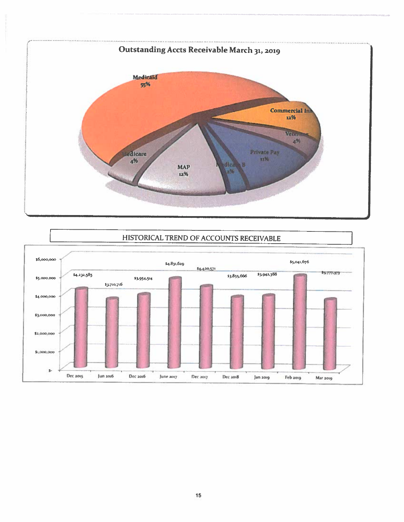

### HISTORICAL TREND OF ACCOUNTS RECEIVABLE

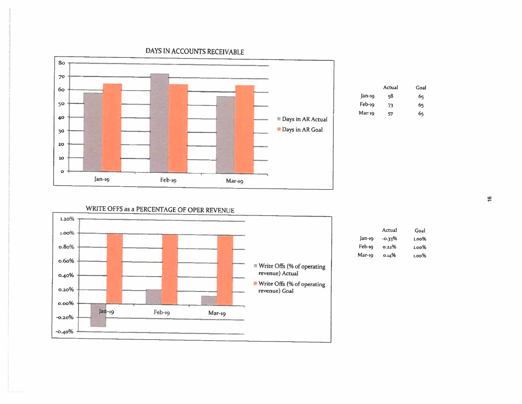

### DAYS IN ACCOUNTS RECEIVABLE

|          | Actual | Goal |
|----------|--------|------|
| Jan-19   | 58     | 65   |
| Feb-19   | 73     | 65   |
| $Mar-19$ | 57     | б5   |
|          |        |      |

WRITE OFFS as a PERCENTAGE OF OPER REVENUE



|        | Actual   | Goal     |
|--------|----------|----------|
| Jan-19 | $-0.33%$ | $1.00\%$ |
| Feb-19 | 0.22%    | 1.00%    |
| Mar-19 | 0.14%    | 1.00%    |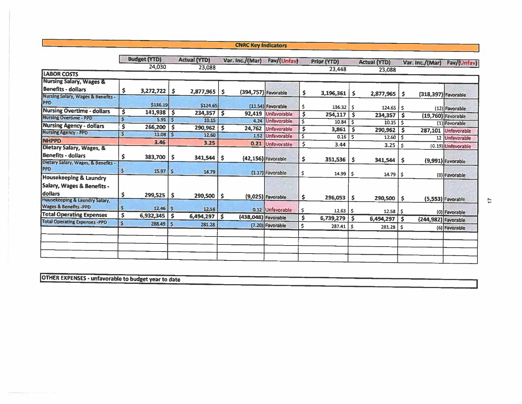### **CNRC Key Indicators**

|                                                                         |              | <b>Budget (YTD)</b> |              | <b>Actual (YTD)</b> |     | Var. Inc./(Mar)     | Fav/(Unfav)         |     | Prior (YTD)  |     | <b>Actual (YTD)</b>    |     | Var. Inc./(Mar)     | Fav/(Unfav)        |
|-------------------------------------------------------------------------|--------------|---------------------|--------------|---------------------|-----|---------------------|---------------------|-----|--------------|-----|------------------------|-----|---------------------|--------------------|
|                                                                         |              | 24,030              |              | 23,088              |     |                     |                     |     | 23,448       |     | 23,088                 |     |                     |                    |
| <b>LABOR COSTS</b>                                                      |              |                     |              |                     |     |                     |                     |     |              |     |                        |     |                     |                    |
| <b>Nursing Salary, Wages &amp;</b>                                      |              |                     |              |                     |     |                     |                     |     |              |     |                        |     |                     |                    |
| <b>Benefits - dollars</b>                                               | \$           | $3,272,722$ \$      |              | $2,877,965$ \$      |     | (394,757) Favorable |                     | \$. | 3,196,361    | -\$ |                        |     |                     |                    |
| Nursing Salary, Wages & Benefits -<br>PPD                               |              | \$136.19            |              | \$124.65            |     |                     |                     |     |              |     | 2,877,965              | \$  | (318,397) Favorable |                    |
| <b>Nursing Overtime - dollars</b>                                       | \$           | $141,938$ \$        |              |                     |     |                     | $(11.54)$ Favorable | -5. | 136.32       | -S  | $124.65$ $\frac{1}{5}$ |     |                     | (12) Favorable     |
| <b>Nursing Overtime - PPD</b>                                           | Ś            | $5.91$ $\mid$ \$    |              | 234,357<br>10.15    | S   | 92,419              | <b>Unfavorable</b>  | Ŝ   | 254,117      | -\$ | 234,357                | -S  |                     | (19,760) Favorable |
| <b>Nursing Agency - dollars</b>                                         | \$           | 266,200             | '\$          |                     |     |                     | 4.24 Unfavorable    | \$  | 10.84        | s.  | $10.15$ S              |     |                     | (1) Favorable      |
| <b>Nursing Agency - PPD</b>                                             | $\mathsf{s}$ | $11.08$ S           |              | 290,962             | S   | 24,762              | Unfavorable         | \$  | 3,861        | s   | 290,962                | -S  | 287,101             | <b>Unfavorable</b> |
| <b>NHPPD</b>                                                            |              | 3.46                |              | 12.60               |     |                     | 1.52 Unfavorable    | .s  | 0.16         | -Ś  | $12.60$ 5              |     |                     | 12 Unfavorable     |
| Dietary Salary, Wages, &                                                |              |                     |              | 3.25                |     | 0.21                | Unfavorable         | s   | 3.44         |     | 3.25                   | \$  |                     | (0.19) Unfavorable |
| <b>Benefits - dollars</b>                                               | \$           | 383,700   \$        |              | 341,544             | -S  |                     | (42,156) Favorable  | \$  | 351,536      | -S  | 341,544                | \$. |                     |                    |
| Dietary Salary, Wages, & Benefits -<br><b>PPD</b>                       | \$           | 15.97               | $\mathsf{S}$ | 14.79               |     |                     | $(1.17)$ Favorable  | S   | 14.99        | ŝ.  | $14.79$ S              |     |                     | (9,991) Favorable  |
| <b>Housekeeping &amp; Laundry</b>                                       |              |                     |              |                     |     |                     |                     |     |              |     |                        |     |                     | (0) Favorable      |
| Salary, Wages & Benefits -<br>dollars<br>Housekeeping & Laundry Salary, | s            | $299,525$ \$        |              | 290,500             | -\$ |                     | (9,025) Favorable   | \$  | 296,053      | -S  | $290,500$   \$         |     |                     | (5,553) Favorable  |
| Wages & Benefits -PPD                                                   | Ś            | $12.46$   \$        |              | 12.58               |     |                     | 0.12 Unfavorable    | \$  | $12.63$   \$ |     | $12.58$ $\sqrt{5}$     |     |                     | (0) Favorable      |
| <b>Total Operating Expenses</b>                                         | \$           | $6,932,345$ \$      |              | 6,494,297           | \$  | (438,048) Favorable |                     | \$  | 6,739,279    | s   | 6,494,297              | .s  | (244,982) Favorable |                    |
| <b>Total Operating Expenses -PPD</b>                                    | $\mathsf{S}$ | 288.49              | l \$         | 281.28              |     |                     | (7.20) Favorable    | \$  | 287.41       | -\$ | $281.28$   \$          |     |                     | (6) Favorable      |
|                                                                         |              |                     |              |                     |     |                     |                     |     |              |     |                        |     |                     |                    |
|                                                                         |              |                     |              |                     |     |                     |                     |     |              |     |                        |     |                     |                    |

**OTHER EXPENSES - unfavorable to budget year to date**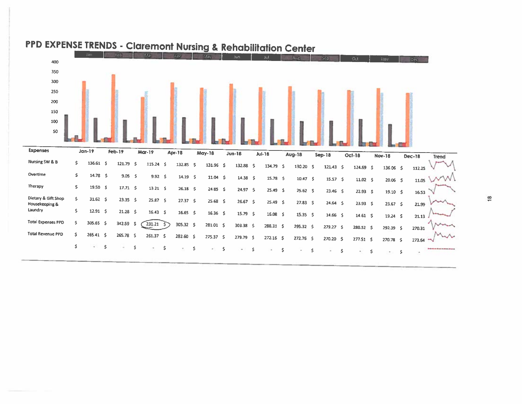

# PPD EXPENSE TRENDS - Claremont Nursing & Rehabilitation Center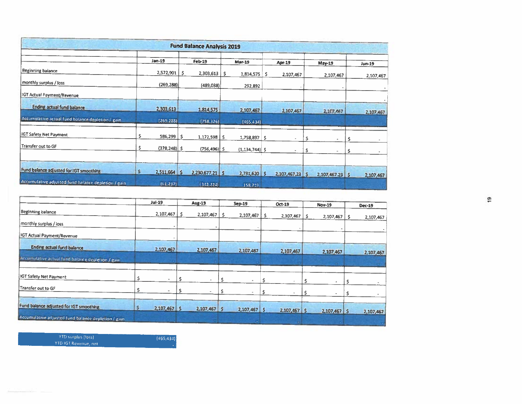| <b>The County of the Property</b>                   |                      |    | <b>Fund Balance Analysis 2019</b> |    |                    |     |                 |     |                   |     |           |
|-----------------------------------------------------|----------------------|----|-----------------------------------|----|--------------------|-----|-----------------|-----|-------------------|-----|-----------|
|                                                     | $Jan-19$             |    | Feb-19                            |    | <b>Mar-19</b>      |     | Apr-19          |     | May-19            |     | Jun-19    |
| Beginning balance                                   | 2,572,901            | -S | 2,303,613                         | Ŝ. | 1,814,575          | s   | 2,107,467       |     | 2,107,467         |     | 2,107,467 |
| monthly surplus / loss                              | (269, 288)           |    | (489, 038)                        |    | 292,892            |     |                 |     |                   |     |           |
| IGT Actual Payment/Revenue                          |                      |    |                                   |    |                    |     |                 |     |                   |     |           |
| Ending actual fund balance                          | 2,303,613            |    | 1,814,575                         |    | 2,107,467          |     | 2,107,467       |     | 2,107,467         |     | 2,107,467 |
| Accumulative actual fund balance depletion / gain   | (269 288)            |    | (758, 326)                        |    | (465, 434)         |     |                 |     |                   |     |           |
| IGT Safety Net Payment                              | \$<br>586,299        | s. | $1,172,598$   \$                  |    | 1,758,897          | \$. |                 | Ŝ.  | $\Delta \theta$   | \$  |           |
| Transfer out to GF                                  | s<br>$(378, 248)$ \$ |    | $(756, 496)$ \$                   |    | $(1, 134, 744)$ \$ |     |                 | \$. | ٠                 | \$. |           |
|                                                     |                      |    |                                   |    |                    |     |                 |     |                   |     |           |
| Fund balance adjusted for IGT smoothing             | s<br>2,511,664 \$    |    | $2,230,677.21$ \$                 |    | $2,731,620$ \$     |     | 2,107,467.23 \$ |     | $2,107,467.23$ \$ |     | 2,107,467 |
| Accumulative adju ted fund balance depletion / gain | (1237)               |    | [342, 224]                        |    | 158,719            |     |                 |     |                   |     |           |

|                                                      |   | <b>Jul-19</b>  |   | Aug-19         |    | <b>Sep-19</b>  |    | Oct-19       | <b>Nov-19</b>   |    | <b>Dec-19</b> |
|------------------------------------------------------|---|----------------|---|----------------|----|----------------|----|--------------|-----------------|----|---------------|
| Beginning balance                                    |   | 2,107,467      | s | 2,107,467      | -S | 2,107,467      | -S | 2,107,467    | \$<br>2,107,467 | -S | 2,107,467     |
| monthly surplus / loss                               |   |                |   |                |    |                |    |              |                 |    |               |
| IGT Actual Payment/Revenue                           |   |                |   |                |    |                |    |              |                 |    |               |
| <b>Ending actual fund balance</b>                    |   | 2,107,467      |   | 2,107,467      |    | 2,107,467      |    | 2,107,467    | 2,107,467       |    | 2,107,467     |
| Accumulative actual fund balance depletion / gain    |   |                |   |                |    |                |    |              |                 |    |               |
| IGT Safety Net Payment                               |   |                |   | $\sim$         |    |                |    |              |                 |    |               |
| Transfer out to GF                                   | Ŝ |                |   |                |    |                |    |              |                 |    |               |
|                                                      |   |                |   |                |    |                |    |              |                 |    |               |
| Fund balance adjusted for IGT smoothing              | s | $2,107,467$ \$ |   | $2,107,467$ \$ |    | $2,107,467$ \$ |    | 2,107,467 \$ | 2,107,467 \$    |    | 2,107,467     |
| Accumulative artjusted fund balance depletion / gain |   |                |   |                |    |                |    |              |                 |    |               |

YTD surplus (loss) YTD IGT Revenue, net

 $(465, 434)$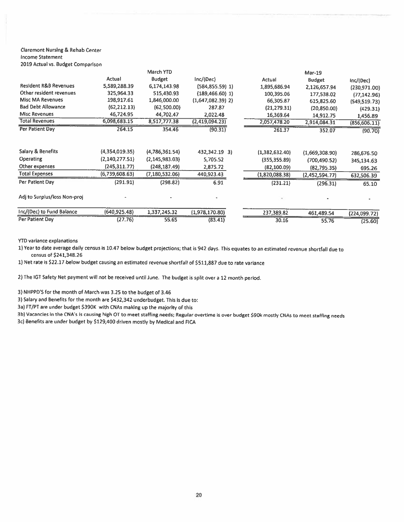#### **Claremont Nursing & Rehab Center Income Statement**

2019 Actual vs. Budget Comparison

|                                  |                | March YTD        |                     |                | Mar-19         |               |
|----------------------------------|----------------|------------------|---------------------|----------------|----------------|---------------|
|                                  | Actual         | <b>Budget</b>    | Inc/(Dec)           | Actual         | Budget         | Inc/(Dec)     |
| <b>Resident R&amp;B Revenues</b> | 5,589,288.39   | 6,174,143.98     | $(584, 855.59)$ 1)  | 1,895,686.94   | 2,126,657.94   | (230,971.00)  |
| Other resident revenues          | 325,964.33     | 515,430.93       | $(189,466.60)$ 1)   | 100,395.06     | 177,538.02     | (77, 142.96)  |
| <b>Misc MA Revenues</b>          | 198,917.61     | 1,846,000.00     | $(1,647,082.39)$ 2) | 66,305.87      | 615,825.60     | (549, 519.73) |
| <b>Bad Debt Allowance</b>        | (62, 212.13)   | (62,500.00)      | 287.87              | (21, 279.31)   | (20,850.00)    | (429.31)      |
| <b>Misc Revenues</b>             | 46,724.95      | 44,702.47        | 2,022.48            | 16,369.64      | 14,912.75      | 1,456.89      |
| <b>Total Revenues</b>            | 6,098,683.15   | 8,517,777.38     | (2,419,094.23)      | 2,057,478.20   | 2,914,084.31   | (856, 606.11) |
| Per Patient Day                  | 264.15         | 354.46           | (90.31)             | 261.37         | 352.07         | (90.70)       |
| Salary & Benefits                | (4,354,019.35) | (4,786,361.54)   | 432,342.19 3)       | (1,382,632.40) | (1,669,308.90) | 286,676.50    |
| <b>Operating</b>                 | (2,140,277.51) | (2, 145, 983.03) | 5,705.52            | (355, 355.89)  | (700, 490.52)  | 345,134.63    |
| Other expenses                   | (245, 311, 77) | (248, 187, 49)   | 2,875.72            | (82, 100.09)   | (82,795.35)    | 695.26        |
| <b>Total Expenses</b>            | (6,739,608.63) | (7, 180, 532.06) | 440,923.43          | (1,820,088.38) | (2,452,594.77) | 632,506.39    |
| Per Patient Day                  | (291.91)       | (298.82)         | 6.91                | (231.21)       | (296.31)       | 65.10         |
| Adj to Surplus/loss Non-proj     |                |                  |                     |                |                |               |
| Inc/(Dec) to Fund Balance        | (640, 925.48)  | 1,337,245.32     | (1,978,170.80)      | 237,389.82     | 461,489.54     | (224,099.72)  |
| Per Patient Day                  | (27.76)        | 55.65            | (83.41)             | 30.16          | 55.76          | (25.60)       |

**YTD variance explanations** 

1) Year to date average daily census is 10.47 below budget projections; that is 942 days. This equates to an estimated revenue shortfall due to census of \$241,348.26

1) Net rate is \$22.17 below budget causing an estimated revenue shortfall of \$511,887 due to rate variance

2) The IGT Safety Net payment will not be received until June. The budget is split over a 12 month period.

3) NHPPD'S for the month of March was 3.25 to the budget of 3.46

3) Salary and Benefits for the month are \$432,342 underbudget. This is due to:

3a) FT/PT are under budget \$390K with CNAs making up the majority of this

3b) Vacancies in the CNA's is causing high OT to meet staffing needs; Regular overtime is over budget \$90k mostly CNAs to meet staffing needs

3c) Benefits are under budget by \$129,400 driven mostly by Medical and FICA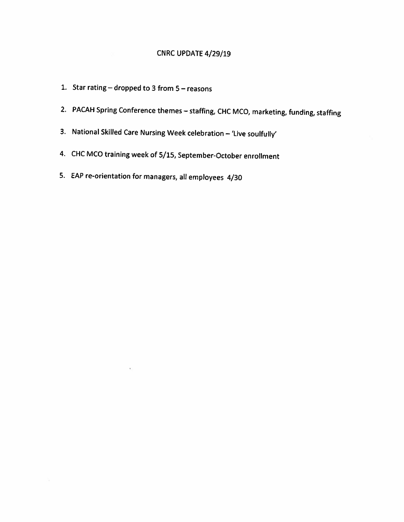### CNRC UPDATE 4/29/19

- 1. Star rating  $-$  dropped to 3 from  $5 -$  reasons
- 2. PACAH Spring Conference themes staffing, CHC MCO, marketing, funding, staffing
- 3. National Skilled Care Nursing Week celebration 'Live soulfully'
- 4. CHC MCO training week of 5/15, September-October enrollment
- 5. EAP re-orientation for managers, all employees 4/30

 $\overline{\phantom{a}}$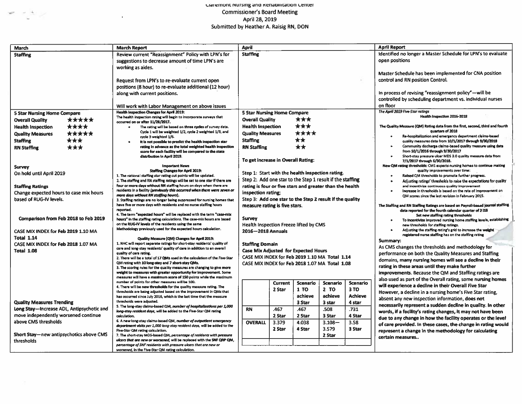### Claremont nursing and Renabilitation Center **Commissioner's Board Meeting** April 28, 2019<br>Submitted by Heather A. Raisig RN, DON

 $\label{eq:2.1} \begin{array}{ccccc} \mathcal{L}_{\mathcal{P}} & \mathcal{L}_{\mathcal{P}} & \mathcal{L}_{\mathcal{P}} & \mathcal{L}_{\mathcal{P}} \end{array} \end{array}$ 

 $\mathcal{A}^{\pm}$ 

| March                                     |                                                                                                                                              | <b>March Report</b>                                                                                                                                 | April                                                     |         |          |                                                             |                | <b>April Report</b>                                                                                                                       |  |  |  |  |
|-------------------------------------------|----------------------------------------------------------------------------------------------------------------------------------------------|-----------------------------------------------------------------------------------------------------------------------------------------------------|-----------------------------------------------------------|---------|----------|-------------------------------------------------------------|----------------|-------------------------------------------------------------------------------------------------------------------------------------------|--|--|--|--|
| <b>Staffing</b>                           |                                                                                                                                              | Review current "Reassignment" Policy with LPN's for                                                                                                 | <b>Staffing</b>                                           |         |          |                                                             |                | Identified no longer a Master Schedule for LPN's to evaluate                                                                              |  |  |  |  |
|                                           | suggestions to decrease amount of time LPN's are                                                                                             |                                                                                                                                                     |                                                           |         |          |                                                             |                | open positions                                                                                                                            |  |  |  |  |
| working as aides.                         |                                                                                                                                              |                                                                                                                                                     |                                                           |         |          |                                                             |                |                                                                                                                                           |  |  |  |  |
|                                           |                                                                                                                                              |                                                                                                                                                     |                                                           |         |          |                                                             |                | Master Schedule has been implemented for CNA position                                                                                     |  |  |  |  |
|                                           |                                                                                                                                              | Request from LPN's to re-evaluate current open                                                                                                      |                                                           |         |          |                                                             |                | control and RN position Control.                                                                                                          |  |  |  |  |
|                                           |                                                                                                                                              | positions (8 hour) to re-evaluate additional (12 hour)                                                                                              |                                                           |         |          |                                                             |                |                                                                                                                                           |  |  |  |  |
|                                           |                                                                                                                                              | along with current positions.                                                                                                                       |                                                           |         |          |                                                             |                | In process of revising "reassignment policy"-will be                                                                                      |  |  |  |  |
|                                           |                                                                                                                                              |                                                                                                                                                     |                                                           |         |          |                                                             |                | controlled by scheduling department vs. individual nurses                                                                                 |  |  |  |  |
|                                           |                                                                                                                                              | Will work with Labor Management on above issues                                                                                                     |                                                           |         |          |                                                             |                | on floor                                                                                                                                  |  |  |  |  |
| <b>5 Star Nursing Home Compare</b>        |                                                                                                                                              | Health Inspection Changes for April 2019:                                                                                                           | <b>5 Star Nursing Home Compare</b>                        |         |          |                                                             |                | The April 2019 Five-Star ratings                                                                                                          |  |  |  |  |
| *****<br><b>Overall Quality</b>           |                                                                                                                                              | The health inspection rating will begin to incorporate surveys that                                                                                 | <b>Overall Quality</b>                                    |         | ***      |                                                             |                | Health Inspection 2016-2018                                                                                                               |  |  |  |  |
| ****<br><b>Health Inspection</b>          |                                                                                                                                              | occurred on or after 11/28/2017.<br>The rating will be based on three cycles of survey data.<br>$\bullet$                                           | <b>Health Inspection</b>                                  |         | ***      |                                                             |                | The Quality Measure (QM) Rating data from the first, second, third and fourth                                                             |  |  |  |  |
| *****                                     |                                                                                                                                              | Cycle 1 will be weighted 1/2, cycle 2 weighted 1/3, and                                                                                             | <b>Quality Measures</b>                                   |         | ****     |                                                             |                | quarters of 2018                                                                                                                          |  |  |  |  |
| <b>Quality Measures</b>                   |                                                                                                                                              | cycle 3 weighted 1/6.                                                                                                                               |                                                           |         |          |                                                             |                | Re-hospitalization and emergency department claims-based                                                                                  |  |  |  |  |
| ***<br><b>Staffing</b>                    |                                                                                                                                              | It is not possible to predict the health inspection star<br>$\bullet$                                                                               | <b>Staffing</b>                                           |         | **       |                                                             |                | quality measures data from 10/1/2017 through 9/30/2018                                                                                    |  |  |  |  |
| ***<br><b>RN Staffing</b>                 |                                                                                                                                              | rating in advance as the total weighted health inspection<br>score for each facility will be compared to the state                                  | <b>RN Staffing</b>                                        |         | **       |                                                             |                | Community discharge claims-based quality measure using data<br>from 10/1/2016 through 9/30/2017                                           |  |  |  |  |
|                                           |                                                                                                                                              | distribution in April 2019.                                                                                                                         | To get increase in Overall Rating:                        |         |          |                                                             |                | Short-stay pressure ulcer MDS 3.0 quality measure data from                                                                               |  |  |  |  |
|                                           |                                                                                                                                              | <b>Important News</b>                                                                                                                               |                                                           |         |          |                                                             |                | 7/1/2017 through 6/30/2018.<br>New QM rating thresholds: CMS expects nursing homes to continue making                                     |  |  |  |  |
| <b>Survey</b>                             |                                                                                                                                              | <b>Staffing Changes for April 2019:</b>                                                                                                             |                                                           |         |          |                                                             |                | quality improvements over time:                                                                                                           |  |  |  |  |
| On hold until April 2019                  |                                                                                                                                              | 1. The national staffing star rating cut points will be updated.                                                                                    | Step 1: Start with the health inspection rating.          |         |          |                                                             |                | Raised QM thresholds to promote further progress.<br>٠                                                                                    |  |  |  |  |
|                                           |                                                                                                                                              | 2. The staffing and RN staffing ratings will be set to one star if there are                                                                        | Step 2: Add one star to the Step 1 result if the staffing |         |          |                                                             |                | Adjusting ratings' thresholds to raise the expectations for quality<br>٠                                                                  |  |  |  |  |
| <b>Staffing Ratings</b>                   |                                                                                                                                              | four or more days without RN staffing hours on days when there are<br>residents in a facility (previously this occurred when there were seven or    | rating is four or five stars and greater than the health  |         |          |                                                             |                | and incentivize continuous quality improvement<br>Increase in thresholds is based on the rate of improvement on                           |  |  |  |  |
| Change expected hours to case mix hours   |                                                                                                                                              | more days without RN staffing hours).                                                                                                               | inspection rating:                                        |         |          |                                                             |                | QM scores since the last revision in February 2015.                                                                                       |  |  |  |  |
| based of RUG-IV levels.                   |                                                                                                                                              | 3. Staffing ratings are no longer being suppressed for nursing homes that                                                                           | Step 3: Add one star to the Step 2 result if the quality  |         |          |                                                             |                |                                                                                                                                           |  |  |  |  |
|                                           |                                                                                                                                              | have five or more days with residents and no nurse staffing hours<br>reported.                                                                      | measure rating is five stars.                             |         |          |                                                             |                | The Staffing and RN Staffing Ratings are based on Payroll-based Journal staffing<br>data reported for the fourth calendar quarter of 2018 |  |  |  |  |
|                                           |                                                                                                                                              | 4. The term "expected hours" will be replaced with the term "case-mix                                                                               |                                                           |         |          |                                                             |                | Set new staffing rating thresholds                                                                                                        |  |  |  |  |
| Comparison from Feb 2018 to Feb 2019      |                                                                                                                                              | hours" in the staffing rating calculations. The case-mix hours are based                                                                            | Survey                                                    |         |          |                                                             |                | To incentivize improved nursing home staffing levels, establishing                                                                        |  |  |  |  |
|                                           |                                                                                                                                              | on the RUG-IV levels of the residents using the same<br>Methodology previously used for the expected hours calculation.                             | <b>Health Inspection Freeze lifted by CMS</b>             |         |          |                                                             |                | new thresholds for staffing ratings.                                                                                                      |  |  |  |  |
| CASE MIX INDEX for Feb 2019 1.10 MA       |                                                                                                                                              |                                                                                                                                                     | 2016-2018 Annuals                                         |         |          |                                                             |                | Adjusting the staffing rating's grid to increase the weight<br>٠<br>registered nurse staffing has on the staffing rating                  |  |  |  |  |
| <b>Total 1.14</b>                         |                                                                                                                                              | Quality Measure (QM) Changes for April 2019:                                                                                                        |                                                           |         |          |                                                             |                | Summary:                                                                                                                                  |  |  |  |  |
| CASE MIX INDEX for Feb 2018 1.07 MA       |                                                                                                                                              | 1. NHC will report separate ratings for short-stay residents' quality of<br>care and long-stay residents' quality of care in addition to an overall | <b>Staffing Domain</b>                                    |         |          |                                                             |                | As CMS changes the thresholds and methodology for                                                                                         |  |  |  |  |
| Total 1.08                                |                                                                                                                                              | quality of care rating.                                                                                                                             | <b>Case Mix Adjusted for Expected Hours</b>               |         |          |                                                             |                | performance on both the Quality Measures and Staffing                                                                                     |  |  |  |  |
|                                           |                                                                                                                                              | 2. There will be a total of 17 QMs used in the calculation of the Five-Star                                                                         | CASE MIX INDEX for Feb 2019 1.10 MA Total 1.14            |         |          |                                                             |                | domains, many nursing homes will see a decline in their                                                                                   |  |  |  |  |
|                                           |                                                                                                                                              | QM rating with 10 long-stay and 7 short-stay QMs.                                                                                                   | CASE MIX INDEX for Feb 2018 1.07 MA Total 1.08            |         |          |                                                             |                | rating in these areas until they make further                                                                                             |  |  |  |  |
|                                           | 3. The scoring rules for the quality measures are changing to give more<br>weight to measures with greater opportunity for improvement. Some |                                                                                                                                                     |                                                           |         |          |                                                             |                | improvements. Because the QM and Staffing ratings are                                                                                     |  |  |  |  |
|                                           |                                                                                                                                              | measures will have a maximum score of 150 points while the maximum                                                                                  |                                                           |         |          |                                                             |                | also used as part of the Overall rating, some nursing homes                                                                               |  |  |  |  |
|                                           |                                                                                                                                              | number of points for other measures will be 100.                                                                                                    |                                                           | Current | Scenario | Scenario                                                    | Scenario       | will experience a decline in their Overall Five Star                                                                                      |  |  |  |  |
|                                           |                                                                                                                                              | 4. There will be new thresholds for the quality measure rating. The<br>thresholds are being adjusted based on the improvement in QMs that           |                                                           | 2 Star  | 1 TO     | 2T0                                                         | 3 TO           | However, a decline in a nursing home's Five Star rating,                                                                                  |  |  |  |  |
|                                           |                                                                                                                                              | has occurred since July 2016, which is the last time that the measure                                                                               |                                                           |         | achieve  | achieve                                                     | <b>Achieve</b> | absent any new inspection information, does not                                                                                           |  |  |  |  |
| <b>Quality Measures Trending</b>          |                                                                                                                                              | thresholds were adjusted.                                                                                                                           |                                                           |         | 3 Star   | 3 star                                                      | 4 star         |                                                                                                                                           |  |  |  |  |
| Long Stay-Increase ADL, Antipsychotic and |                                                                                                                                              | 5. The long-stay claims-based QM, number of hospitalizations per 1,000<br>long-stay resident days, will be added to the Five-Star QM rating         | <b>RN</b>                                                 | .467    | .467     | .508                                                        | .731           | necessarily represent a sudden decline in quality. In other                                                                               |  |  |  |  |
| move independently worsened continue      |                                                                                                                                              | calculation.                                                                                                                                        | 2 Star<br>2 Star<br>3 Star<br>4 Star                      |         |          |                                                             |                | words, if a facility's rating changes, it may not have been                                                                               |  |  |  |  |
| above CMS thresholds                      |                                                                                                                                              | 6. A new long-stay claims-based QM, number of outpotient emergency                                                                                  | $3.108 -$<br><b>OVERALL</b><br>3.379<br>4.038             |         | 3.58     | due to any change in how the facility operates or the level |                |                                                                                                                                           |  |  |  |  |
|                                           |                                                                                                                                              | department visits per 1,000 long-stay resident days, will be added to the                                                                           |                                                           | 2 Star  | 4 Star   | 3.579                                                       | 3 Star         | of care provided. In these cases, the change in rating would                                                                              |  |  |  |  |
| Short Stay-new antipsychotics above CMS   |                                                                                                                                              | Five-Star QM rating calculation.<br>7. The short-stay MDS-based QM, percentage of residents with pressure                                           |                                                           |         |          | 2 Star                                                      |                | represent a change in the methodology for calculating                                                                                     |  |  |  |  |
| thresholds                                |                                                                                                                                              | ulcers that are new or worsened, will be replaced with the SNF QRP QM,                                                                              |                                                           |         |          |                                                             |                | certain measures                                                                                                                          |  |  |  |  |
|                                           |                                                                                                                                              | percentage of SNF residents with pressure ulcers that are new or                                                                                    |                                                           |         |          |                                                             |                |                                                                                                                                           |  |  |  |  |
|                                           |                                                                                                                                              | worsened, in the Five-Star QM rating calculation.                                                                                                   |                                                           |         |          |                                                             |                |                                                                                                                                           |  |  |  |  |